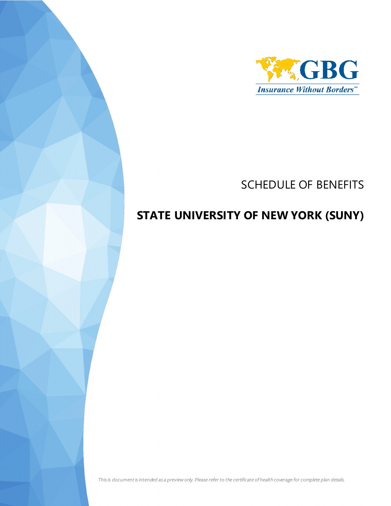

# SCHEDULE OF BENEFITS

# **STATE UNIVERSITY OF NEW YORK (SUNY)**

*This is document is intended as a preview only. Please refer to the certificate of health coverage for complete plan details.*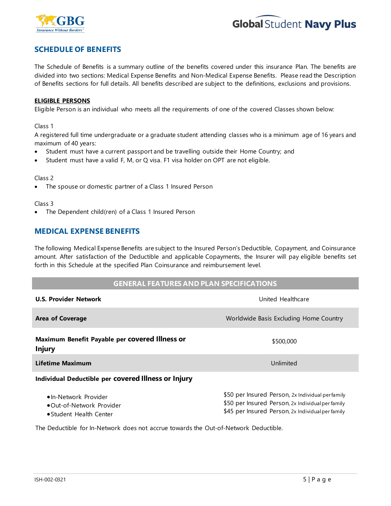



## **SCHEDULE OF BENEFITS**

The Schedule of Benefits is a summary outline of the benefits covered under this insurance Plan. The benefits are divided into two sections: Medical Expense Benefits and Non-Medical Expense Benefits. Please read the Description of Benefits sections for full details. All benefits described are subject to the definitions, exclusions and provisions.

#### **ELIGIBLE PERSONS**

Eligible Person is an individual who meets all the requirements of one of the covered Classes shown below:

#### Class 1

A registered full time undergraduate or a graduate student attending classes who is a minimum age of 16 years and maximum of 40 years:

- Student must have a current passport and be travelling outside their Home Country; and
- Student must have a valid F, M, or Q visa. F1 visa holder on OPT are not eligible.

#### Class 2

The spouse or domestic partner of a Class 1 Insured Person

#### Class 3

• The Dependent child(ren) of a Class 1 Insured Person

## **MEDICAL EXPENSE BENEFITS**

The following Medical Expense Benefits are subject to the Insured Person's Deductible, Copayment, and Coinsurance amount. After satisfaction of the Deductible and applicable Copayments, the Insurer will pay eligible benefits set forth in this Schedule at the specified Plan Coinsurance and reimbursement level.

### **GENERAL FEATURES AND PLAN SPECIFICATIONS**

| <b>U.S. Provider Network</b>                                                | United Healthcare                                                                                                                                          |
|-----------------------------------------------------------------------------|------------------------------------------------------------------------------------------------------------------------------------------------------------|
| <b>Area of Coverage</b>                                                     | Worldwide Basis Excluding Home Country                                                                                                                     |
| Maximum Benefit Payable per covered Illness or<br><b>Injury</b>             | \$500,000                                                                                                                                                  |
| Lifetime Maximum                                                            | Unlimited                                                                                                                                                  |
| Individual Deductible per covered Illness or Injury                         |                                                                                                                                                            |
| •In-Network Provider<br>•Qut-of-Network Provider<br>• Student Health Center | \$50 per Insured Person, 2x Individual perfamily<br>\$50 per Insured Person, 2x Individual per family<br>\$45 per Insured Person, 2x Individual per family |

The Deductible for In-Network does not accrue towards the Out-of-Network Deductible.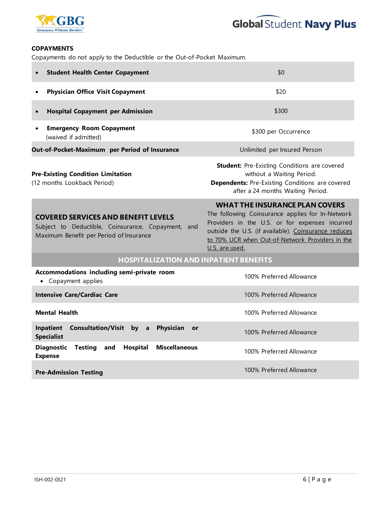



### **COPAYMENTS**

Copayments do not apply to the Deductible or the Out-of-Pocket Maximum.

| <b>Student Health Center Copayment</b><br>$\bullet$                                                                                            | \$0                                                                                                                                                                                                                                                                      |  |
|------------------------------------------------------------------------------------------------------------------------------------------------|--------------------------------------------------------------------------------------------------------------------------------------------------------------------------------------------------------------------------------------------------------------------------|--|
| <b>Physician Office Visit Copayment</b><br>$\bullet$                                                                                           | \$20                                                                                                                                                                                                                                                                     |  |
| <b>Hospital Copayment per Admission</b><br>$\bullet$                                                                                           | \$300                                                                                                                                                                                                                                                                    |  |
| <b>Emergency Room Copayment</b><br>$\bullet$<br>(waived if admitted)                                                                           | \$300 per Occurrence                                                                                                                                                                                                                                                     |  |
| Out-of-Pocket-Maximum per Period of Insurance                                                                                                  | Unlimited per Insured Person                                                                                                                                                                                                                                             |  |
| <b>Pre-Existing Condition Limitation</b><br>(12 months Lookback Period)                                                                        | <b>Student:</b> Pre-Existing Conditions are covered<br>without a Waiting Period.<br>Dependents: Pre-Existing Conditions are covered<br>after a 24 months Waiting Period.                                                                                                 |  |
| <b>COVERED SERVICES AND BENEFIT LEVELS</b><br>Subject to Deductible, Coinsurance, Copayment,<br>and<br>Maximum Benefit per Period of Insurance | <b>WHAT THE INSURANCE PLAN COVERS</b><br>The following Coinsurance applies for In-Network<br>Providers in the U.S. or for expenses incurred<br>outside the U.S. (if available). Coinsurance reduces<br>to 70% UCR when Out-of-Network Providers in the<br>U.S. are used. |  |
| <b>HOSPITALIZATION AND INPATIENT BENEFITS</b>                                                                                                  |                                                                                                                                                                                                                                                                          |  |
| Accommodations including semi-private room<br>Copayment applies<br>$\bullet$                                                                   | 100% Preferred Allowance                                                                                                                                                                                                                                                 |  |
| <b>Intensive Care/Cardiac Care</b>                                                                                                             | 100% Preferred Allowance                                                                                                                                                                                                                                                 |  |
| <b>Mental Health</b>                                                                                                                           | 100% Preferred Allowance                                                                                                                                                                                                                                                 |  |
| Inpatient<br>Consultation/Visit by a<br>Physician<br>or<br><b>Specialist</b>                                                                   | 100% Preferred Allowance                                                                                                                                                                                                                                                 |  |
| <b>Diagnostic</b><br>Hospital<br><b>Miscellaneous</b><br><b>Testing</b><br>and<br><b>Expense</b>                                               | 100% Preferred Allowance                                                                                                                                                                                                                                                 |  |
| <b>Pre-Admission Testing</b>                                                                                                                   | 100% Preferred Allowance                                                                                                                                                                                                                                                 |  |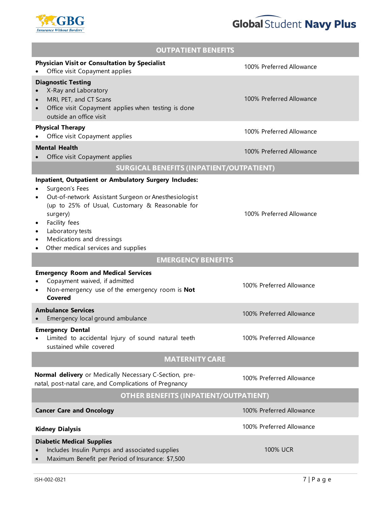



| <b>OUTPATIENT BENEFITS</b>                                                                                                                                                                                                                                                                              |                          |  |
|---------------------------------------------------------------------------------------------------------------------------------------------------------------------------------------------------------------------------------------------------------------------------------------------------------|--------------------------|--|
| <b>Physician Visit or Consultation by Specialist</b><br>Office visit Copayment applies                                                                                                                                                                                                                  | 100% Preferred Allowance |  |
| <b>Diagnostic Testing</b><br>X-Ray and Laboratory<br>MRI, PET, and CT Scans<br>Office visit Copayment applies when testing is done<br>outside an office visit                                                                                                                                           | 100% Preferred Allowance |  |
| <b>Physical Therapy</b><br>Office visit Copayment applies                                                                                                                                                                                                                                               | 100% Preferred Allowance |  |
| <b>Mental Health</b><br>Office visit Copayment applies                                                                                                                                                                                                                                                  | 100% Preferred Allowance |  |
| <b>SURGICAL BENEFITS (INPATIENT/OUTPATIENT)</b>                                                                                                                                                                                                                                                         |                          |  |
| Inpatient, Outpatient or Ambulatory Surgery Includes:<br>Surgeon's Fees<br>Out-of-network Assistant Surgeon or Anesthesiologist<br>(up to 25% of Usual, Customary & Reasonable for<br>surgery)<br>Facility fees<br>Laboratory tests<br>Medications and dressings<br>Other medical services and supplies | 100% Preferred Allowance |  |
| <b>EMERGENCY BENEFITS</b>                                                                                                                                                                                                                                                                               |                          |  |
| <b>Emergency Room and Medical Services</b><br>Copayment waived, if admitted<br>Non-emergency use of the emergency room is Not<br>Covered                                                                                                                                                                | 100% Preferred Allowance |  |
| <b>Ambulance Services</b><br>Emergency local ground ambulance                                                                                                                                                                                                                                           | 100% Preferred Allowance |  |
| <b>Emergency Dental</b><br>Limited to accidental Injury of sound natural teeth<br>sustained while covered                                                                                                                                                                                               | 100% Preferred Allowance |  |
| <b>MATERNITY CARE</b>                                                                                                                                                                                                                                                                                   |                          |  |
| Normal delivery or Medically Necessary C-Section, pre-<br>natal, post-natal care, and Complications of Pregnancy                                                                                                                                                                                        | 100% Preferred Allowance |  |
| <b>OTHER BENEFITS (INPATIENT/OUTPATIENT)</b>                                                                                                                                                                                                                                                            |                          |  |
| <b>Cancer Care and Oncology</b>                                                                                                                                                                                                                                                                         | 100% Preferred Allowance |  |
| <b>Kidney Dialysis</b>                                                                                                                                                                                                                                                                                  | 100% Preferred Allowance |  |
| <b>Diabetic Medical Supplies</b><br>Includes Insulin Pumps and associated supplies<br>Maximum Benefit per Period of Insurance: \$7,500                                                                                                                                                                  | <b>100% UCR</b>          |  |